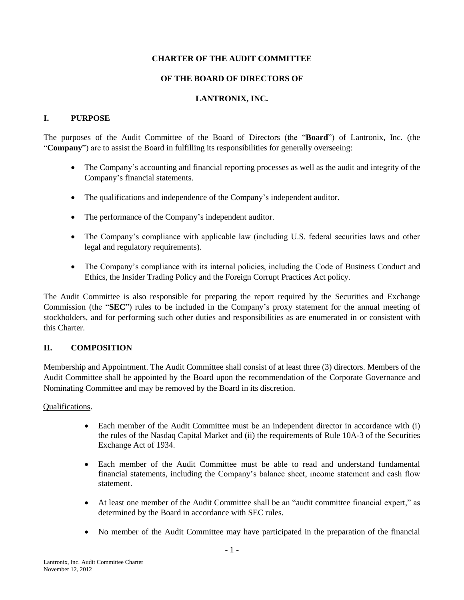## **CHARTER OF THE AUDIT COMMITTEE**

#### **OF THE BOARD OF DIRECTORS OF**

## **LANTRONIX, INC.**

#### **I. PURPOSE**

The purposes of the Audit Committee of the Board of Directors (the "**Board**") of Lantronix, Inc. (the "**Company**") are to assist the Board in fulfilling its responsibilities for generally overseeing:

- The Company's accounting and financial reporting processes as well as the audit and integrity of the Company's financial statements.
- The qualifications and independence of the Company's independent auditor.
- The performance of the Company's independent auditor.
- The Company's compliance with applicable law (including U.S. federal securities laws and other legal and regulatory requirements).
- The Company's compliance with its internal policies, including the Code of Business Conduct and Ethics, the Insider Trading Policy and the Foreign Corrupt Practices Act policy.

The Audit Committee is also responsible for preparing the report required by the Securities and Exchange Commission (the "**SEC**") rules to be included in the Company's proxy statement for the annual meeting of stockholders, and for performing such other duties and responsibilities as are enumerated in or consistent with this Charter.

### **II. COMPOSITION**

Membership and Appointment. The Audit Committee shall consist of at least three (3) directors. Members of the Audit Committee shall be appointed by the Board upon the recommendation of the Corporate Governance and Nominating Committee and may be removed by the Board in its discretion.

### Qualifications.

- Each member of the Audit Committee must be an independent director in accordance with (i) the rules of the Nasdaq Capital Market and (ii) the requirements of Rule 10A-3 of the Securities Exchange Act of 1934.
- Each member of the Audit Committee must be able to read and understand fundamental financial statements, including the Company's balance sheet, income statement and cash flow statement.
- At least one member of the Audit Committee shall be an "audit committee financial expert," as determined by the Board in accordance with SEC rules.
- No member of the Audit Committee may have participated in the preparation of the financial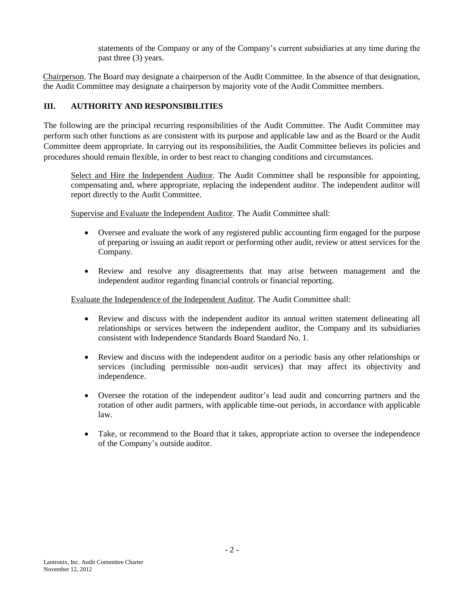statements of the Company or any of the Company's current subsidiaries at any time during the past three (3) years.

Chairperson. The Board may designate a chairperson of the Audit Committee. In the absence of that designation, the Audit Committee may designate a chairperson by majority vote of the Audit Committee members.

# **III. AUTHORITY AND RESPONSIBILITIES**

The following are the principal recurring responsibilities of the Audit Committee. The Audit Committee may perform such other functions as are consistent with its purpose and applicable law and as the Board or the Audit Committee deem appropriate. In carrying out its responsibilities, the Audit Committee believes its policies and procedures should remain flexible, in order to best react to changing conditions and circumstances.

Select and Hire the Independent Auditor. The Audit Committee shall be responsible for appointing, compensating and, where appropriate, replacing the independent auditor. The independent auditor will report directly to the Audit Committee.

Supervise and Evaluate the Independent Auditor. The Audit Committee shall:

- Oversee and evaluate the work of any registered public accounting firm engaged for the purpose of preparing or issuing an audit report or performing other audit, review or attest services for the Company.
- Review and resolve any disagreements that may arise between management and the independent auditor regarding financial controls or financial reporting.

Evaluate the Independence of the Independent Auditor. The Audit Committee shall:

- Review and discuss with the independent auditor its annual written statement delineating all relationships or services between the independent auditor, the Company and its subsidiaries consistent with Independence Standards Board Standard No. 1.
- Review and discuss with the independent auditor on a periodic basis any other relationships or services (including permissible non-audit services) that may affect its objectivity and independence.
- Oversee the rotation of the independent auditor's lead audit and concurring partners and the rotation of other audit partners, with applicable time-out periods, in accordance with applicable law.
- Take, or recommend to the Board that it takes, appropriate action to oversee the independence of the Company's outside auditor.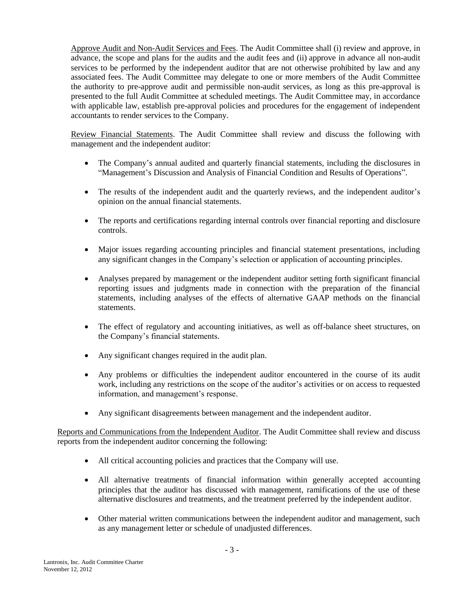Approve Audit and Non-Audit Services and Fees. The Audit Committee shall (i) review and approve, in advance, the scope and plans for the audits and the audit fees and (ii) approve in advance all non-audit services to be performed by the independent auditor that are not otherwise prohibited by law and any associated fees. The Audit Committee may delegate to one or more members of the Audit Committee the authority to pre-approve audit and permissible non-audit services, as long as this pre-approval is presented to the full Audit Committee at scheduled meetings. The Audit Committee may, in accordance with applicable law, establish pre-approval policies and procedures for the engagement of independent accountants to render services to the Company.

Review Financial Statements. The Audit Committee shall review and discuss the following with management and the independent auditor:

- The Company's annual audited and quarterly financial statements, including the disclosures in "Management's Discussion and Analysis of Financial Condition and Results of Operations".
- The results of the independent audit and the quarterly reviews, and the independent auditor's opinion on the annual financial statements.
- The reports and certifications regarding internal controls over financial reporting and disclosure controls.
- Major issues regarding accounting principles and financial statement presentations, including any significant changes in the Company's selection or application of accounting principles.
- Analyses prepared by management or the independent auditor setting forth significant financial reporting issues and judgments made in connection with the preparation of the financial statements, including analyses of the effects of alternative GAAP methods on the financial statements.
- The effect of regulatory and accounting initiatives, as well as off-balance sheet structures, on the Company's financial statements.
- Any significant changes required in the audit plan.
- Any problems or difficulties the independent auditor encountered in the course of its audit work, including any restrictions on the scope of the auditor's activities or on access to requested information, and management's response.
- Any significant disagreements between management and the independent auditor.

Reports and Communications from the Independent Auditor. The Audit Committee shall review and discuss reports from the independent auditor concerning the following:

- All critical accounting policies and practices that the Company will use.
- All alternative treatments of financial information within generally accepted accounting principles that the auditor has discussed with management, ramifications of the use of these alternative disclosures and treatments, and the treatment preferred by the independent auditor.
- Other material written communications between the independent auditor and management, such as any management letter or schedule of unadjusted differences.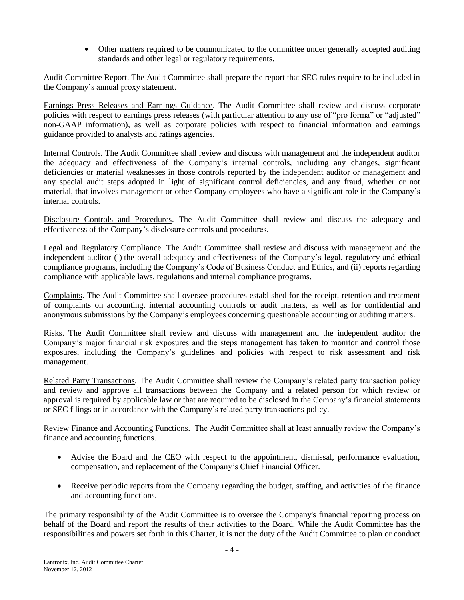Other matters required to be communicated to the committee under generally accepted auditing standards and other legal or regulatory requirements.

Audit Committee Report. The Audit Committee shall prepare the report that SEC rules require to be included in the Company's annual proxy statement.

Earnings Press Releases and Earnings Guidance. The Audit Committee shall review and discuss corporate policies with respect to earnings press releases (with particular attention to any use of "pro forma" or "adjusted" non-GAAP information), as well as corporate policies with respect to financial information and earnings guidance provided to analysts and ratings agencies.

Internal Controls. The Audit Committee shall review and discuss with management and the independent auditor the adequacy and effectiveness of the Company's internal controls, including any changes, significant deficiencies or material weaknesses in those controls reported by the independent auditor or management and any special audit steps adopted in light of significant control deficiencies, and any fraud, whether or not material, that involves management or other Company employees who have a significant role in the Company's internal controls.

Disclosure Controls and Procedures. The Audit Committee shall review and discuss the adequacy and effectiveness of the Company's disclosure controls and procedures.

Legal and Regulatory Compliance. The Audit Committee shall review and discuss with management and the independent auditor (i) the overall adequacy and effectiveness of the Company's legal, regulatory and ethical compliance programs, including the Company's Code of Business Conduct and Ethics, and (ii) reports regarding compliance with applicable laws, regulations and internal compliance programs.

Complaints. The Audit Committee shall oversee procedures established for the receipt, retention and treatment of complaints on accounting, internal accounting controls or audit matters, as well as for confidential and anonymous submissions by the Company's employees concerning questionable accounting or auditing matters.

Risks. The Audit Committee shall review and discuss with management and the independent auditor the Company's major financial risk exposures and the steps management has taken to monitor and control those exposures, including the Company's guidelines and policies with respect to risk assessment and risk management.

Related Party Transactions. The Audit Committee shall review the Company's related party transaction policy and review and approve all transactions between the Company and a related person for which review or approval is required by applicable law or that are required to be disclosed in the Company's financial statements or SEC filings or in accordance with the Company's related party transactions policy.

Review Finance and Accounting Functions. The Audit Committee shall at least annually review the Company's finance and accounting functions.

- Advise the Board and the CEO with respect to the appointment, dismissal, performance evaluation, compensation, and replacement of the Company's Chief Financial Officer.
- Receive periodic reports from the Company regarding the budget, staffing, and activities of the finance and accounting functions.

The primary responsibility of the Audit Committee is to oversee the Company's financial reporting process on behalf of the Board and report the results of their activities to the Board. While the Audit Committee has the responsibilities and powers set forth in this Charter, it is not the duty of the Audit Committee to plan or conduct